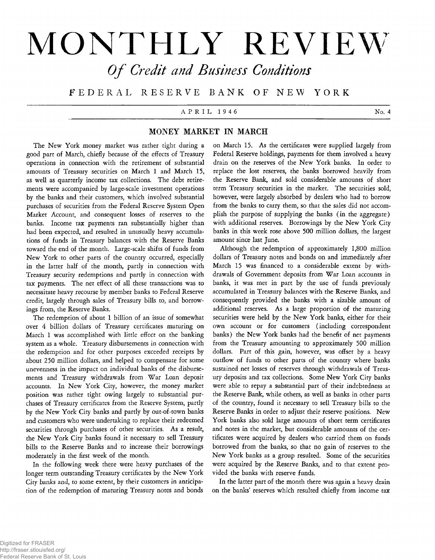# **MONTHLY REVIEW** *O f Credit and Business Conditions*

**F E D E R A L RES E RV E B A N K OF N E W Y O R K**

## A P R I L 1 9 4 6 No. 4

## **MONEY MARKET IN MARCH**

The New York money market was rather tight during a good part of March, chiefly because of the effects of Treasury operations in connection with the retirement of substantial amounts of Treasury securities on March 1 and March 15, as well as quarterly income tax collections. The debt retirements were accompanied by large-scale investment operations by the banks and their customers, which involved substantial purchases of securities from the Federal Reserve System Open Market Account, and consequent losses of reserves to the banks. Income tax payments ran substantially higher than had been expected, and resulted in unusually heavy accumulations of funds in Treasury balances with the Reserve Banks toward the end of the month. Large-scale shifts of funds from New York to other parts of the country occurred, especially in the latter half of the month, partly in connection with Treasury security redemptions and partly in connection with tax payments. The net effect of all these transactions was to necessitate heavy recourse by member banks to Federal Reserve credit, largely through sales of Treasury bills to, and borrowings from, the Reserve Banks.

The redemption of about 1 billion of an issue of somewhat over 4 billion dollars of Treasury certificates maturing on March 1 was accomplished with little effect on the banking system as a whole. Treasury disbursements in connection with the redemption and for other purposes exceeded receipts by about 250 million dollars, and helped to compensate for some unevenness in the impact on individual banks of the disbursements and Treasury withdrawals from War Loan deposit accounts. In New York City, however, the money market position was rather tight owing largely to substantial purchases of Treasury certificates from the Reserve System, partly by the New York City banks and partly by out-of-town banks and customers who were undertaking to replace their redeemed securities through purchases of other securities. As a result, the New York City banks found it necessary to sell Treasury bills to the Reserve Banks and to increase their borrowings moderately in the first week of the month.

In the following week there were heavy purchases of the longer term outstanding Treasury certificates by the New York *City* banks and, to some extent, by their customers in anticipation of the redemption of maturing Treasury notes and bonds

on March 15. As the certificates were supplied largely from Federal Reserve holdings, payments for them involved a heavy drain on the reserves of the New York banks. In order to replace the lost reserves, the banks borrowed heavily from the Reserve Bank, and sold considerable amounts of short term Treasury securities in the market. The securities sold, however, were largely absorbed by dealers who had to borrow from the banks to carry them, so that the sales did not accomplish the purpose of supplying the banks (in the aggregate) with additional reserves. Borrowings by the New York City banks in this week rose above 500 million dollars, the largest amount since last June.

Although the redemption of approximately 1,800 million dollars of Treasury notes and bonds on and immediately after March 15 was financed to a considerable extent by withdrawals of Government deposits from War Loan accounts in banks, it was met in part by the use of funds previously accumulated in Treasury balances with the Reserve Banks, and consequently provided the banks with a sizable amount of additional reserves. As a large proportion of the maturing securities were held by the New York banks, either for their own account or for customers ( including correspondent banks) the New York banks had the benefit of net payments from the Treasury amounting to approximately 500 million dollars. Part of this gain, however, was offset by a heavy outflow of funds to other parts of the country where banks sustained net losses of reserves through withdrawals of Treasury deposits and tax collections. Some New York City banks were able to repay a substantial part of their indebtedness at the Reserve Bank, while others, as well as banks in other parts of the country, found it necessary to sell Treasury bills to the Reserve Banks in order to adjust their reserve positions. New York banks also sold large amounts of short term certificates and notes in the market, but considerable amounts of the certificates were acquired by dealers who carried them on funds borrowed from the banks, so that no gain of reserves to the New York banks as a group resulted. Some of the securities were acquired by the Reserve Banks, and to that extent provided the banks with reserve funds.

In the latter part of the month there was again a heavy drain on the banks' reserves which resulted chiefly from income tax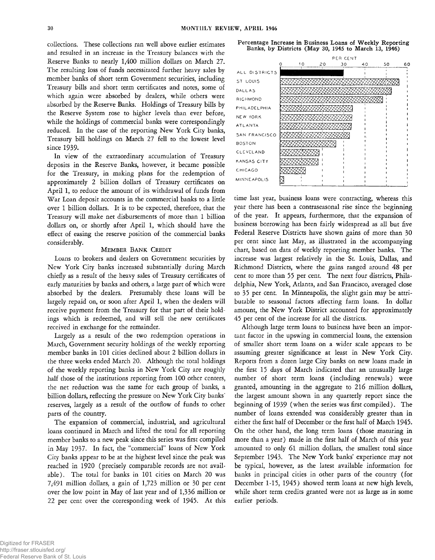collections. These collections ran well above earlier estimates and resulted in an increase in the Treasury balances with the Reserve Banks to nearly 1,400 million dollars on March 27. The resulting loss of funds necessitated further heavy sales by member banks of short term Government securities, including Treasury bills and short term certificates and notes, some of which again were absorbed by dealers, while others were absorbed by the Reserve Banks. Holdings of Treasury bills by the Reserve System rose to higher levels than ever before, while the holdings of commercial banks were correspondingly reduced. In the case of the reporting New York City banks, Treasury bill holdings on March 27 fell to the lowest level since 1939.

In view of the extraordinary accumulation of Treasury deposits in the Reserve Banks, however, it became possible for the Treasury, in making plans for the redemption of approximately 2 billion dollars of Treasury certificates on April 1, to reduce the amount of its withdrawal of funds from War Loan deposit accounts in the commercial banks to a little over 1 billion dollars. It is to be expected, therefore, that the Treasury will make net disbursements of more than 1 billion dollars on, or shortly after April 1, which should have the effect of easing the reserve position of the commercial banks considerably.

#### MEMBER BANK CREDIT

Loans to brokers and dealers on Government securities by New York City banks increased substantially during March chiefly as a result of the heavy sales of Treasury certificates of early maturities by banks and others, a large part of which were absorbed by the dealers. Presumably these loans will be largely repaid on, or soon after April 1, when the dealers will receive payment from the Treasury for that part of their holdings which is redeemed, and will sell the new certificates received in exchange for the remainder.

Largely as a result of the two redemption operations in March, Government security holdings of the weekly reporting member banks in 101 cities declined about 2 billion dollars in the three weeks ended March 20. Although the total holdings of the weekly reporting banks in New York City are roughly half those of the institutions reporting from 100 other centers, the net reduction was the same for each group of banks, a billion dollars, reflecting the pressure on New York City banks' reserves, largely as a result of the outflow of funds to other parts of the country.

The expansion of commercial, industrial, and agricultural loans continued in March and lifted the total for all reporting member banks to a new peak since this series was first compiled in May 1937. In fact, the "commercial" loans of New York City banks appear to be at the highest level since the peak was reached in 1920 (precisely comparable records are not available). The total for banks in 101 cities on March 20 was 7,491 million dollars, a gain of 1,723 million or 30 per cent over the low point in May of last year and of 1,336 million or 22 per cent over the corresponding week of 1945. At this





time last year, business loans were contracting, whereas this year there has been a contraseasonal rise since the beginning of the year. It appears, furthermore, that the expansion of business borrowing has been fairly widespread as all but five Federal Reserve Districts have shown gains of more than 30 per cent since last May, as illustrated in the accompanying chart, based on data of weekly reporting member banks. The increase was largest relatively in the St. Louis, Dallas, and Richmond Districts, where the gains ranged around 48 per cent to more than 55 per cent. The next four districts, Philadelphia, New York, Atlanta, and San Francisco, averaged close to 35 per cent. In Minneapolis, the slight gain may be attributable to seasonal factors affecting farm loans. In dollar amount, the New York District accounted for approximately 45 per cent of the increase for all the districts.

Although large term loans to business have been an important factor in the upswing in commercial loans, the extension of smaller short term loans on a wider scale appears to be assuming greater significance at least in New York City. Reports from a dozen large City banks on new loans made in the first 15 days of March indicated that an unusually large number of short term loans (including renewals) were granted, amounting in the aggregate to 216 million dollars, the largest amount shown in any quarterly report since the beginning of 1939 (when the series was first compiled). The number of loans extended was considerably greater than in either the first half of December or the first half of March 1945. On the other hand, the long term loans (those maturing in more than a year) made in the first half of March of this year amounted to only 61 million dollars, the smallest total since September 1943. The New York banks' experience may not be typical, however, as the latest available information for banks in principal cities in other parts of the country (for December 1-15, 1945) showed term loans at new high levels, while short term credits granted were not as large as in some earlier periods.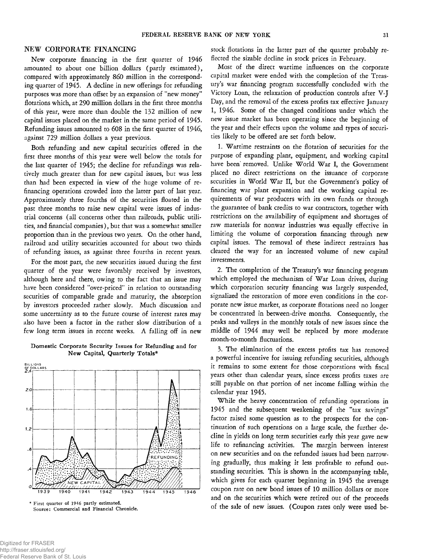## NEW CORPORATE FINANCING

New corporate financing in the first quarter of 1946 amounted to about one billion dollars (partly estimated), compared with approximately 860 million in the corresponding quarter of 1945. A decline in new offerings for refunding purposes was more than offset by an expansion of 'new money" flotations which, at 290 million dollars in the first three months of this year, were more than double the 132 million of new capital issues placed on the market in the same period of 1945. Refunding issues amounted to 608 in the first quarter of 1946, against 729 million dollars a year previous.

Both refunding and new capital securities offered in the first three months of this year were well below the totals for the last quarter of 1945; the decline for refundings was relatively much greater than for new capital issues, but was less than had been expected in view of the huge volume of refinancing operations crowded into the latter part of last year. Approximately three fourths of the securities floated in the past three months to raise new capital were issues of industrial concerns (all concerns other than railroads, public utilities, and financial companies), but that was a somewhat smaller proportion than in the previous two years. On the other hand, railroad and utility securities accounted for about two thirds of refunding issues, as against three fourths in recent years.

For the most part, the new securities issued during the first quarter of the year were favorably received by investors, although here and there, owing to the fact that an issue may have been considered 'over-priced" in relation to outstanding securities of comparable grade and maturity, the absorption by investors proceeded rather slowly. Much discussion and some uncertainty as to the future course of interest rates may also have been a factor in the rather slow distribution of a few long term issues in recent weeks. A falling off in new

#### **Domestic Corporate Security Issues for Refunding and for New Capital, Quarterly Totals\***



\* First quarter of 1946 partly estimated. Source: Commercial and Financial Chronicle.

stock flotations in the latter part of the quarter probably reflected the sizable decline in stock prices in February.

Most of the direct wartime influences on the corporate capital market were ended with the completion of the Treasury's war financing program successfully concluded with the Victory Loan, the relaxation of production controls after V-J Day, and the removal of the excess profits tax effective January 1, 1946. Some of the changed conditions under which the new issue market has been operating since the beginning of the year and their effects upon the volume and types of securities likely to be offered are set forth below.

1. Wartime restraints on the flotation of securities for the purpose of expanding plant, equipment, and working capital have been removed. Unlike World War I, the Government placed no direct restrictions on the issuance of corporate securities in World War II, but the Government's policy of financing war plant expansion and the working capital requirements of war producers with its own funds or through the guarantee of bank credits to war contractors, together with restrictions on the availability of equipment and shortages of raw materials for nonwar industries was equally effective in limiting the volume of corporation financing through new capital issues. The removal of these indirect restraints has cleared the way for an increased volume of new capital investments.

2. The completion of the Treasury's war financing program which employed the mechanism of War Loan drives, during which corporation security financing was largely suspended, signalized the restoration of more even conditions in the corporate new issue market, as corporate flotations need no longer be concentrated in between-drive months. Consequently, the peaks and valleys in the monthly totals of new issues since the middle of 1944 may well be replaced by more moderate month-to-month fluctuations.

3. The elimination of the excess profits tax has removed a powerful incentive for issuing refunding securities, although it remains to some extent for those corporations with fiscal years other than calendar years, since excess profits taxes are still payable on that portion of net income falling within the calendar year 1945.

While the heavy concentration of refunding operations in 1945 and the subsequent weakening of the "tax savings" factor raised some question as to the prospects for the continuation of such operations on a large scale, the further decline in yields on long term securities early this year gave new life to refinancing activities. The margin between interest on new securities and on the refunded issues had been narrowing gradually, thus making it less profitable to refund outstanding securities. This is shown in the accompanying table, which gives for each quarter beginning in 1945 the average coupon rate on new bond issues of 10 million dollars or more and on the securities which were retired out of the proceeds of the sale of new issues. (Coupon rates only were used be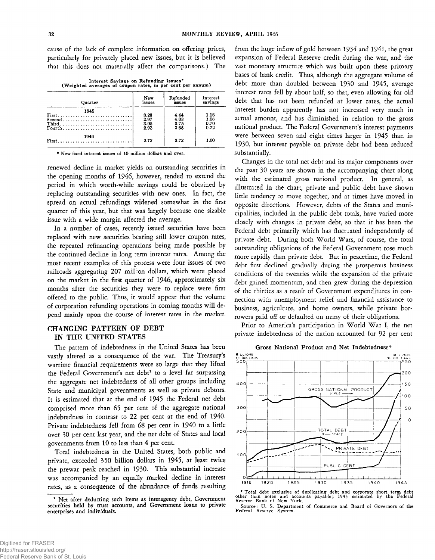cause of the lack of complete Information on offering prices, particularly for privately placed new issues, but it is believed that this does not materially affect the comparisons.) The

**Interest Savings on Refunding Issues\* (Weighted averages of coupon rates, in per cent per annum)**

| Quarter  | New    | Refunded | Interest |
|----------|--------|----------|----------|
|          | issues | issues   | savings  |
| 1945     | 3.26   | 4.44     | 1.18     |
|          | 2.97   | 4.03     | 1.06     |
| $Second$ | 3.05   | 3.75     | 0.70     |
|          | 2.93   | 3.65     | 0.72     |
| 1946     | 2.72   | 3.72     | 1.00     |

\* New fixed interest issues of 10 million dollars and over.

renewed decline in market yields on outstanding securities in the opening months of 1946, however, tended to extend the period in which worth-while savings could be obtained by replacing outstanding securities with new ones. In fact, the spread on actual refundings widened somewhat in the first quarter of this year, but that was largely because one sizable issue with a wide margin affected the average.

In a number of cases, recently issued securities have been replaced with new securities bearing still lower coupon rates, the repeated refinancing operations being made possible by the continued decline in long term interest rates. Among the most recent examples of this process were four issues of two railroads aggregating 207 million dollars, which were placed on the market in the first quarter of 1946, approximately six months after the securities they were to replace were first offered to the public. Thus, it would appear that the volume of corporation refunding operations in coming months will depend mainly upon the course of interest rates in the market.

## **CHANGING PATTERN OF DEBT IN THE UNITED STATES**

The pattern of indebtedness in the United States has been vastly altered as a consequence of the war. The Treasury's wartime financial requirements were so large that they lifted the Federal Government's net debt<sup>1</sup> to a level far surpassing the aggregate net indebtedness of all other groups including State and municipal governments as well as private debtors. It is estimated that at the end of 1945 the Federal net debt comprised more than 65 per cent of the aggregate national indebtedness in contrast to 22 per cent at the end of 1940. Private indebtedness fell from 68 per cent in 1940 to a little over 30 per cent last year, and the net debt of States and local governments from 10 to less than 4 per cent.

Total indebtedness in the United States, both public and private, exceeded 350 billion dollars in 1945, at least twice the prewar peak reached in 1930. This substantial increase was accompanied by an equally marked decline in interest rates, as a consequence of the abundance of funds resulting

from the huge inflow of gold between 1934 and 1941, the great expansion of Federal Reserve credit during the war, and the vast monetary structure which was built upon these primary bases of bank credit. Thus, although the aggregate volume of debt more than doubled between 1930 and 1945, average interest rates fell by about half, so that, even allowing for old debt that has not been refunded at lower rates, the actual interest burden apparently has not increased very much in actual amount, and has diminished in relation to the gross national product. The Federal Government's interest payments were between seven and eight times larger in 1945 than in 1930, but interest payable on private debt had been reduced substantially.

Changes in the total net debt and its major components over the past 30 years are shown in the accompanying chart along with the estimated gross national product. In general, as illustrated in the chart, private and public debt have shown little tendency to move together, and at times have moved in opposite directions. However, debts of the States and municipalities, included in the public debt totals, have varied more closely with changes in private debt, so that it has been the Federal debt primarily which has fluctuated independently of private debt. During both World Wars, of course, the total outstanding obligations of the Federal Government rose much more rapidly than private debt. But in peacetime, the Federal debt first declined gradually during the prosperous business conditions of the twenties while the expansion of the private debt gained momentum, and then grew during the depression of the thirties as a result of Government expenditures in connection with unemployment relief and financial assistance to business, agriculture, and home owners, while private borrowers paid off or defaulted on many of their obligations.

Prior to America's participation in World War I, the net private indebtedness of the nation accounted for 92 per cent

**Gross National Product and Net Indebtedness\***



\* Total debt exclusive of duplicating debt and corporate short term debt other than notes and accounts payable; 1945 estimated by the Federal other than notes and accounter Reserve Bank of New York. Source: U. S. Department of Commerce and Board of Governors of **the** Federal Reserve System.

<sup>&</sup>lt;sup>1</sup> Net after deducting such items as interagency debt, Government securities held by trust accounts, and Government loans to private enterprises and individuals.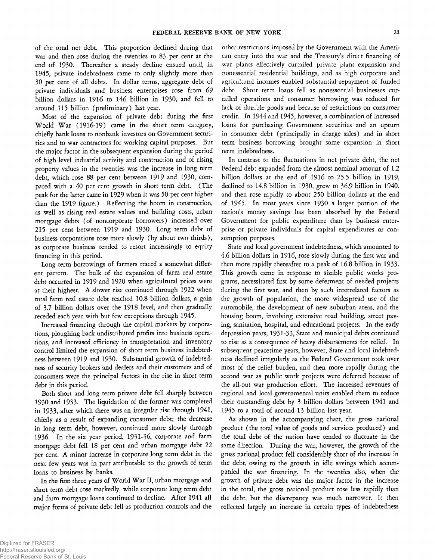of the total net debt. This proportion declined during that war and then rose during the twenties to 83 per cent at the end of 1930. Thereafter a steady decline ensued until, in 1945, private indebtedness came to only slightly more than 30 per cent of all debts. In dollar terms, aggregate debt of private individuals and business enterprises rose from 69 billion dollars in 1916 to 146 billion in 1930, and fell to around 115 billion (preliminary) last year.

Most of the expansion of private debt during the first World War (1916-19) came in the short term category, chiefly bank loans to nonbank investors on Government securities and to war contractors for working capital purposes. But the major factor in the subsequent expansion during the period of high level industrial activity and construction and of rising property values in the twenties was the increase in long term debt, which rose 88 per cent between 1919 and 1930, compared with a 40 per cent growth in short term debt. (The peak for the latter came in 1929 when it was 50 per cent higher than the 1919 figure.) Reflecting the boom in construction, as well as rising real estate values and building costs, urban mortgage debts (of noncorporate borrowers) increased over 215 per cent between 1919 and 1930. Long term debt of business corporations rose more slowly (by about two thirds), as corporate business tended to resort increasingly to equity financing in this period.

Long term borrowings of farmers traced a somewhat different pattern. The bulk of the expansion of farm real estate debt occurred in 1919 and 1920 when agricultural prices were at their highest. A slower rise continued through 1922 when total farm real estate debt reached 10.8 billion dollars, a gain of 3.7 billion dollars over the 1918 level, and then gradually receded each year with but few exceptions through 1945.

Increased financing through the capital markets by corporations, ploughing back undistributed profits into business operations, and increased efficiency in transportation and inventory control limited the expansion of short term business indebtedness between 1919 and 1930. Substantial growth of indebtedness of security brokers and dealers and their customers and of consumers were the principal factors in the rise in short term debt in this period.

Both short and long term private debt fell sharply between 1930 and 1933. The liquidation of the former was completed in 1933, after which there was an irregular rise through 1941, chiefly as a result of expanding consumer debt; the decrease in long term debt, however, continued more slowly through 1936. In the six year period, 1931-36, corporate and farm mortgage debt fell 18 per cent and urban mortgage debt 22 per cent. A minor increase in corporate long term debt in the next few years was in part attributable to the growth of term loans to business by banks.

In the *first* three years of World War II, urban mortgage and short term debt rose markedly, while corporate long term debt and farm mortgage loans continued to decline. After 1941 all major forms of private debt fell as production controls and the

other restrictions imposed by the Government with the American entry into the war and the Treasury's direct financing of war plants effectively curtailed private plant expansion and nonessential residential buildings, and as high corporate and agricultural incomes enabled substantial repayment of funded debt. Short term loans fell as nonessential businesses curtailed operations and consumer borrowing was reduced for lack of durable goods and because of restrictions on consumer credit. In 1944 and 1945, however, a combination of increased loans for purchasing Government securities and an upturn in consumer debt (principally in charge sales) and in short term business borrowing brought some expansion in short term indebtedness.

In contrast to the fluctuations in net private debt, the net Federal debt expanded from the almost nominal amount of 1.2 billion dollars at the end of 1916 to 25.5 billion in 1919, declined to 14.8 billion in 1930, grew to 36.9 billion in 1940, and then rose rapidly to about 250 billion dollars at the end of 1945. In most years since 1930 a larger portion of the nation's money savings has been absorbed by the Federal Government for public expenditure than by business enterprise or private individuals for capital expenditures or consumption purposes.

State and local government indebtedness, which amounted to 4.6 billion dollars in 1916, rose slowly during the first war and then more rapidly thereafter to a peak of 16.8 billion in 1933. This growth came in response to sizable public works programs, necessitated first by some deferment of needed projects during the first war, and then by such interrelated factors as the growth of population, the more widespread use of the automobile, the development of new suburban areas, and the housing boom, involving extensive road building, street paving, sanitation, hospital, and educational projects. In the early depression years, 1931-33, State and municipal debts continued to rise as a consequence of heavy disbursements for relief. In subsequent peacetime years, however, State and local indebtedness declined irregularly as the Federal Government took over most of the relief burden, and then more rapidly during the second war as public work projects were deferred because of the all-out war production effort. The increased revenues of regional and local governmental units enabled them to reduce their outstanding debt by 3 billion dollars between 1941 and 1945 to a total of around 13 billion last year.

As shown in the accompanying chart, the gross national product (the total value of goods and services produced) and the total debt of the nation have tended to fluctuate in the same direction. During the war, however, the growth of the gross national product fell considerably short of the increase in the debt, owing to the growth in idle savings which accompanied the war financing. In the twenties also, when the growth of private debt was the major factor in the increase in the total, the gross national product rose less rapidly than the debt, but the discrepancy was much narrower. It then reflected largely an increase in certain types of indebtedness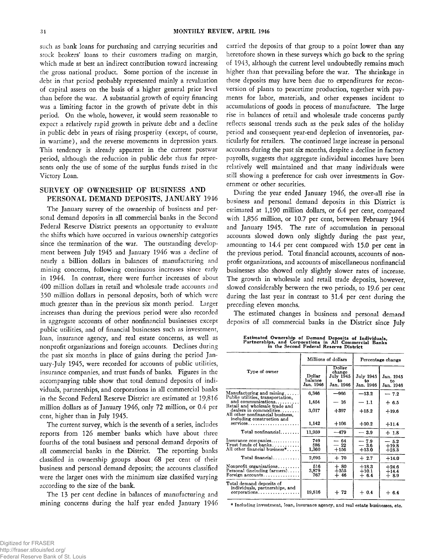such as bank loans for purchasing and carrying securities and stock brokers' loans to their customers trading on margin, which made at best an indirect contribution toward increasing the gross national product. Some portion of the increase in debt in that period probably represented mainly a revaluation of capital assets on the basis of a higher general price level than before the war. A substantial growth of equity financing was a limiting factor in the growth of private debt in this period. On the whole, however, it would seem reasonable to expect a relatively rapid growth in private debt and a decline in public debt in years of rising prosperity ( except, of course, in wartime), and the reverse movements in depression years. This tendency is already apparent in the current postwar period, although the reduction in public debt thus far represents only the use of some of the surplus funds raised in the Victory Loan.

## SURVEY OF OWNERSHIP OF BUSINESS AND PERSONAL DEMAND DEPOSITS, JANUARY 1946

The January survey of the ownership of business and personal demand deposits in all commercial banks in the Second Federal Reserve District presents an opportunity to evaluate the shifts which have occurred in various ownership categories since the termination of the war. The outstanding development between July 1945 and January 1946 was a decline of nearly a billion dollars in balances of manufacturing and mining concerns, following continuous increases since early in 1944. In contrast, there were further increases of about 400 million dollars in retail and wholesale trade accounts and 350 million dollars in personal deposits, both of which were much greater than in the previous six month period. Larger increases than during the previous period were also recorded in aggregate accounts of other nonfinancial businesses except public utilities, and of financial businesses such as investment, loan, insurance agency, and real estate concerns, as well as nonprofit organizations and foreign accounts. Declines during the past six months in place of gains during the period January-July 1945, were recorded for accounts of public utilities, insurance companies, and trust funds of banks. Figures in the accompanying table show that total demand deposits of individuals, partnerships, and corporations in all commercial banks in the Second Federal Reserve District are estimated at 19,816 million dollars as of January 1946, only 72 million, or 0.4 per cent, higher than in July 1945.

The current survey, which is the seventh of a series, includes reports from 126 member banks which have about three fourths of the total business and personal demand deposits of all commercial banks in the District. The reporting banks classified in ownership groups about 68 per cent of their business and personal demand deposits; the accounts classified were the larger ones with the minimum size classified varying according to the size of the bank.

The 13 per cent decline in balances of manufacturing and mining concerns during the half year ended January 1946 carried the deposits of that group to a point lower than any heretofore shown in these surveys which go back to the spring of 1943, although the current level undoubtedly remains much higher than that prevailing before the war. The shrinkage in these deposits may have been due to expenditures for reconversion of plants to peacetime production, together with payments for labor, materials, and other expenses incident to accumulations of goods in process of manufacture. The large rise in balances of retail and wholesale trade concerns partly reflects seasonal trends such as the peak sales of the holiday period and consequent year-end depletion of inventories, particularly for retailers. The continued large increase in personal accounts during the past six months, despite a decline in factory payrolls, suggests that aggregate individual incomes have been relatively well maintained and that many individuals were still showing a preference for cash over investments in Government or other securities.

During the year ended January 1946, the over-all rise in business and personal demand deposits in this District is estimated at 1,190 million dollars, or 6.4 per cent, compared with 1,856 million, or 10.7 per cent, between February 1944 and January 1945. The rate of accumulation in personal accounts slowed down only slightly during the past year, amounting to 14.4 per cent compared with 15.0 per cent in the previous period. Total financial accounts, accounts of nonprofit organizations, and accounts of miscellaneous nonfinancial businesses also showed only slightly slower rates of increase. The growth in wholesale and retail trade deposits, however, slowed considerably between the two periods, to 19.6 per cent during the last year in contrast to 31.4 per cent during the preceding eleven months.

The estimated changes in business and personal demand deposits of all commercial banks in the District since July

**Estimated Ownership of Demand Deposits of Individuals, Partnerships, and Corporations in All Commercial Banks in the Second Federal Reserve District**

|                                                                                              |                                | Millions of dollars                              | Percentage change                   |                              |  |
|----------------------------------------------------------------------------------------------|--------------------------------|--------------------------------------------------|-------------------------------------|------------------------------|--|
| Type of owner                                                                                | Dollar<br>balance<br>Jan. 1946 | Dollar<br>change<br>July 1945<br>t٥<br>Jan. 1946 | <b>July 1945</b><br>ŧо<br>Jan. 1946 | Jan. 1945<br>t٥<br>Jan. 1946 |  |
| Manufacturing and $mining$                                                                   | 6,346                          | --966                                            | $-13.2$                             | $-7.2$                       |  |
| Public utilities, transportation,<br>and communications                                      | 1,454                          | — 16                                             | $-1.1$                              | $+6.5$                       |  |
| Retail and wholesale trade and<br>dealers in commodities<br>All other nonfinancial business, | 3.017                          | $+397$                                           | $+15.2$                             | $+19.6$                      |  |
| including construction and<br>$s$ ervices                                                    | 1.142                          | $+106$                                           | $+10.2$                             | $+11.4$                      |  |
| Total nonfinancial                                                                           | 11,959                         | $-479$                                           | $-3.9$                              | $+1.8$                       |  |
| Insurance companies<br>Trust funds of $banks$<br>All other financial business*               | 749<br>586<br>1,360            | $-64$<br>$-22$<br>$+156$                         | $-7.9$<br>$-3.6$<br>$+13.0$         | $-5.2$<br>$+19.8$<br>$+25.3$ |  |
| Total financial                                                                              | 2,695                          | $+70$                                            | $+2.7$                              | $+14.0$                      |  |
| Nonprofit organizations<br>Personal (including farmers)<br>Foreign accounts                  | 516<br>3,879<br>767            | $+80$<br>$+355$<br>$+46$                         | $+18.3$<br>$+10.1$<br>$+6.4$        | $+24.6$<br>$+14.4$<br>$+8.9$ |  |
| Total demand deposits of<br>individuals, partnerships, and<br>$corportions \ldots \ldots$    | 19,816                         | $+72$                                            | $+0.4$                              | $+ 6.4$                      |  |

\* Including investment, loan, insurance agency, and real estate businesses, etc.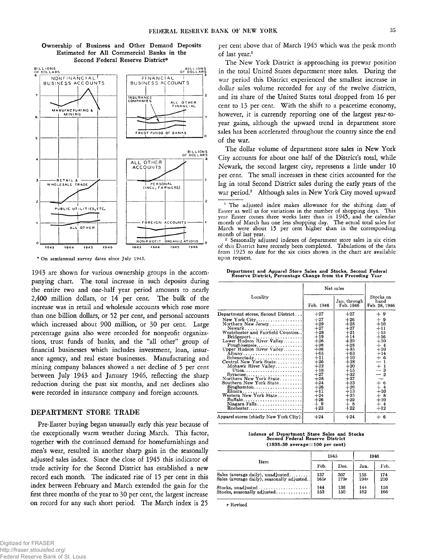

**Ownership of Business and Other Demand Deposits Estimated for All Commercial Banks in the Second Federal Reserve District\***

\* On semiannual survey dates since July 1943.

1943 are shown for various ownership groups in the accompanying chart. The total increase in such deposits during the entire two and one-half year period amounts to nearly 2,400 million dollars, or 14 per cent. The bulk of the increase was in retail and wholesale accounts which rose more than one billion dollars, or 52 per cent, and personal accounts which increased about 900 million, or 30 per cent. Large percentage gains also were recorded for nonprofit organizations, trust funds of banks, and the "all other" group of financial businesses which includes investment, loan, insurance agency, and real estate businesses. Manufacturing and mining company balances showed a net decline of 5 per cent between July 1943 and January 1946, reflecting the sharp reduction during the past six months, and net declines also were recorded in insurance company and foreign accounts.

## DEPARTMENT STORE TRADE

Pre-Easter buying began unusually early this year because of the exceptionally warm weather during March. This factor, together with the continued demand for homefurnishings and men's wear, resulted in another sharp gain in the seasonally adjusted sales index. Since the close of 1945 this indicator of trade activity for the Second District has established a new record each month. The indicated rise of 15 per cent in this index between February and March extended the gain for the first three months of the year to 30 per cent, the largest increase on record for any such short period. The March index is 25 per cent above that of March 1945 which was the peak month of last year.<sup>1</sup>

The New York District is approaching its prewar position in the total United States department store sales. During the war period this District experienced the smallest increase in dollar sales volume recorded for any of the twelve districts, and its share of the United States total dropped from 16 per cent to 13 per cent. With the shift to a peacetime economy, however, it is currently reporting one of the largest year-toyear gains, although the upward trend in department store sales has been accelerated throughout the country since the end of the war.

The dollar volume of department store sales in New York City accounts for about one half of the District's total, while Newark, the second largest city, represents a little under 10 per cent. The small increases in these cities accounted for the lag in total Second District sales during the early years of the war period.<sup>2</sup> Although sales in New York City moved upward

2 Seasonally adjusted indexes of department store sales in six cities of this District have recently been completed. Tabulations of the data from 1925 to date for the six cities shown in the chart are available upon request.

**Department and Apparel Store Sales and Stocks, Second Federal Reserve District, Percentage Change from the Preceding Year**

|                                                                                                                                                                                                                                                                                                       | Net sales                                                                                                                                    |                                                                                                                                                 |                                                                                                                         |
|-------------------------------------------------------------------------------------------------------------------------------------------------------------------------------------------------------------------------------------------------------------------------------------------------------|----------------------------------------------------------------------------------------------------------------------------------------------|-------------------------------------------------------------------------------------------------------------------------------------------------|-------------------------------------------------------------------------------------------------------------------------|
| Locality                                                                                                                                                                                                                                                                                              | Feb. 1946                                                                                                                                    | Jan. through<br>Feb. 1946                                                                                                                       | Stocks on<br>hand<br>Feb. 28, 1946                                                                                      |
| Department stores, Second District<br>Northern New Jersey<br>$Newark$<br>Westchester and Fairfield Counties<br>$Bridgeport.$<br>Lower Hudson River Valley<br>Poughkeepsie<br>Upper Hudson River Valley<br>Albany<br>Central New York State<br>Mohawk River Valley<br>Utica<br>Northern New York State | $+27$<br>$+27$<br>$+29$<br>$+27$<br>$+28$<br>$+19$<br>$+26$<br>$+26$<br>$+36$<br>$+65$<br>$+11$<br>$+26$<br>$+22$<br>$+18$<br>$+27$<br>$+28$ | $+27$<br>$+26$<br>$+28$<br>$+27$<br>$+21$<br>$+14$<br>$+29$<br>$+28$<br>$+35$<br>$+63$<br>$+10$<br>$+28$<br>$+20$<br>$+15$<br>$+32$<br>$^{+37}$ | $+9$<br>$+9$<br>$+10$<br>$+11$<br>$+15$<br>$+16$<br>$+10$<br>$+4$<br>$+10$<br>$+14$<br>$+6$<br>—<br>$+1$<br>— 3<br>$-2$ |
| Southern New York State<br>Binghamton<br>Elmira<br>Western New York State<br>Buffalo<br>Niagara Falls<br>$Rochester. \ldots \ldots \ldots \ldots \ldots \ldots \ldots$<br>Apparel stores (chiefly New York City).                                                                                     | $+24$<br>$+26$<br>$+11$<br>$+24$<br>$+26$<br>$+9$<br>$+23$<br>$+24$                                                                          | $+23$<br>$+26$<br>$+13$<br>$+25$<br>$+29$<br>+ 8<br>$+22$<br>$+24$                                                                              | $+ 6$<br>+ 4<br>$+10$<br>$+8$<br>$+10$<br>$+4$<br>$+12$<br>$+6$                                                         |

**Indexes of Department Store Sales and Stocks Second Federal Reserve District** (1935-39 average=100 per cent)

| Item                                                            | 1945  |      | 1946 |      |
|-----------------------------------------------------------------|-------|------|------|------|
|                                                                 | Feb.  | Dec. | Jan. | Feb. |
| Sales (average daily), unadjusted                               | 137   | 307  | 155  | 174  |
| Sales (average daily), seasonally adjusted                      | 16.5r | 179r | 194r | 210  |
| $Stocks, unadjusted. \ldots \ldots \ldots \ldots \ldots \ldots$ | 144   | 136  | 144  | 156  |
| Stocks, seasonally adjusted                                     | 153   | 150  | 162  | 166  |

r Revised

The adjusted index makes allowance for the shifting date of Easter as well as for variations in the number of shopping days. This year Easter comes three weeks later than in 1945, and the calendar month of March has one less shopping day. The actual total sales for March were about 15 per cent higher than in the corresponding month of last year.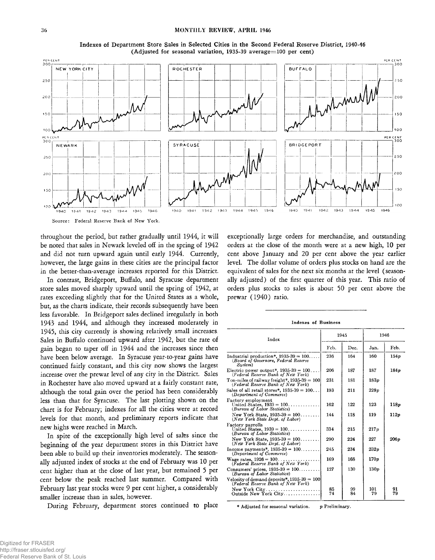

**Indexes of Department Store Sales in Selected Cities in the Second Federal Reserve District, 1940-46 (Adjusted for seasonal variation, 1935-39 average=100 per cent)**



throughout the period, but rather gradually until 1944, it will be noted that sales in Newark leveled off in the spring of 1942 and did not turn upward again until early 1944. Currently, however, the large gains in these cities are the principal factor in the better-than-average increases reported for this District.

In contrast, Bridgeport, Buffalo, and Syracuse department store sales moved sharply upward until the spring of 1942, at rates exceeding slightly that for the United States as a whole, but, as the charts indicate, their records subsequently have been less favorable. In Bridgeport sales declined irregularly in both 1943 and 1944, and although they increased moderately in 1945, this city currently is showing relatively small increases. Sales in Buffalo continued upward after 1942, but the rate of gain began to taper off in 1944 and the increases since then have been below average. In Syracuse year-to-year gains have continued fairly constant, and this city now shows the largest increase over the prewar level of any city in the District. Sales in Rochester have also moved upward at a fairly constant rate, although the total gain over the period has been considerably less than that for Syracuse. The last plotting shown on the chart is for February; indexes for all the cities were at record levels for that month, and preliminary reports indicate that new highs were reached in March.

In spite of the exceptionally high level of sates since the beginning of the year department stores in this District have been able to build up their inventories moderately. The seasonally adjusted index of stocks at the end of February was 10 per cent higher than at the close of last year, but remained 5 per cent below the peak reached last summer. Compared with February last year stocks were 9 per cent higher, a considerably smaller increase than in sales, however.

During February, department stores continued to place

exceptionally large orders for merchandise, and outstanding orders at the close of the month were at a new high, 10 per cent above January and 20 per cent above the year earlier level. The dollar volume of orders plus stocks on hand are the equivalent of sales for the next six months at the level ( seasonally adjusted) of the first quarter of this year. This ratio of orders plus stocks to sales is about 50 per cent above the prewar (1940) ratio.

#### Indexes of Business

| Index                                                                                      | 1945     |          | 1946             |          |
|--------------------------------------------------------------------------------------------|----------|----------|------------------|----------|
|                                                                                            | Feb.     | Dec.     | Jan.             | Feb.     |
| Industrial production*, $1935-39 = 100$<br>(Board of Governors, Federal Reserve<br>System) | 236      | 164      | 160              | 154p     |
| Electric power output*, $1935-39 = 100$<br>(Federal Reserve Bank of New York)              | 206      | 187      | 187              | 184p     |
| Ton-miles of railway freight*, $1935-39 = 100$<br>(Federal Reserve Bank of New York)       | 231      | 181      | 183p             |          |
| Sales of all retail stores*, $1935-39 = 100$<br>(Department of Commerce)                   | 193      | 211      | 228p             |          |
| Factory employment<br>United States, $1939 = 100$<br>(Bureau of Labor Statistics)          | 162      | 122      | 123              | 118p     |
| New York State, $1935-39 = 100$<br>(New York State Dept. of Labor)                         | 144      | 118      | 119              | 112p     |
| Factory payrolls<br>United States, $1939 = 100$<br>(Bureau of Labor Statistics)            | 334      | 215      | 217p             |          |
| New York State, $1935-39 = 100$<br>(New York State Dept. of Labor)                         | 290      | 224      | 227              | 206p     |
| Income payments*, $1935-39 = 100$<br>(Department of Commerce)                              | 245      | 234      | 232p             |          |
| Wage rates, $1926 = 100$<br>(Federal Reserve Bank of New York)                             | 169      | 168      | 170p             |          |
| Consumers' prices, $1935-39 = 100$<br>(Bureau of Labor Statistics)                         | 127      | 130      | 130 <sub>v</sub> |          |
| Velocity of demand deposits*, $1935-39 = 100$<br>(Federal Reserve Bank of New York)        |          |          |                  |          |
| New York $City$<br>Outside New York City                                                   | 85<br>74 | 99<br>84 | 101<br>79        | 91<br>79 |

\* Adjusted for seasonal variation. p Preliminary.